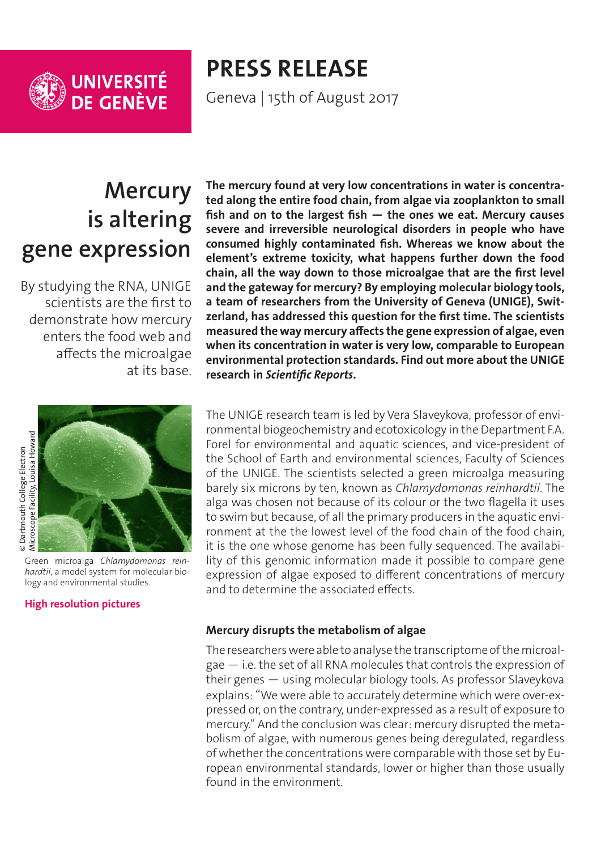

**PRESS RELEASE** Geneva | 15th of August 2017

**Mercury is altering gene expression**

By studying the RNA, UNIGE scientists are the first to demonstrate how mercury enters the food web and affects the microalgae at its base.

**The mercury found at very low concentrations in water is concentrated along the entire food chain, from algae via zooplankton to small fish and on to the largest fish — the ones we eat. Mercury causes severe and irreversible neurological disorders in people who have consumed highly contaminated fish. Whereas we know about the element's extreme toxicity, what happens further down the food chain, all the way down to those microalgae that are the first level and the gateway for mercury? By employing molecular biology tools, a team of researchers from the University of Geneva (UNIGE), Switzerland, has addressed this question for the first time. The scientists measured the way mercury affects the gene expression of algae, even when its concentration in water is very low, comparable to European environmental protection standards. Find out more about the UNIGE research in** *Scientific Reports***.**

© Dartmouth College Electron<br>Microscope Facility, Louisa Howard Microsco[p](http://phototheque.unige.ch/documents/facets?newFacet=mot.cle.marc%3DCdP_170815_Slaveykova_Mercure&clearFacets=1)e Facilit[y](http://phototheque.unige.ch/documents/facets?newFacet=mot.cle.marc%3DCdP_170815_Slaveykova_Mercure&clearFacets=1), Louisa Howard© Dartmouth College Electron

Green microalga *Chlamydomonas reinhardtii*, a model system for molecular biology and environmental studies.

## **[High resolution pictures](http://phototheque.unige.ch/documents/facets?newFacet=mot.cle.marc%3DCdP_170815_Slaveykova_Mercure&clearFacets=1)**

The UNIGE research team is led by Vera Slaveykova, professor of environmental biogeochemistry and ecotoxicology in the Department F.A. Forel for environmental and aquatic sciences, and vice-president of the School of Earth and environmental sciences, Faculty of Sciences of the UNIGE. The scientists selected a green microalga measuring barely six microns by ten, known as *Chlamydomonas reinhardtii*. The alga was chosen not because of its colour or the two flagella it uses to swim but because, of all the primary producers in the aquatic environment at the the lowest level of the food chain of the food chain, it is the one whose genome has been fully sequenced. The availability of this genomic information made it possible to compare gene expression of algae exposed to different concentrations of mercury and to determine the associated effects.

## **Mercury disrupts the metabolism of algae**

The researchers were able to analyse the transcriptome of the microalgae — i.e. the set of all RNA molecules that controls the expression of their genes — using molecular biology tools. As professor Slaveykova explains: "We were able to accurately determine which were over-expressed or, on the contrary, under-expressed as a result of exposure to mercury." And the conclusion was clear: mercury disrupted the metabolism of algae, with numerous genes being deregulated, regardless of whether the concentrations were comparable with those set by European environmental standards, lower or higher than those usually found in the environment.